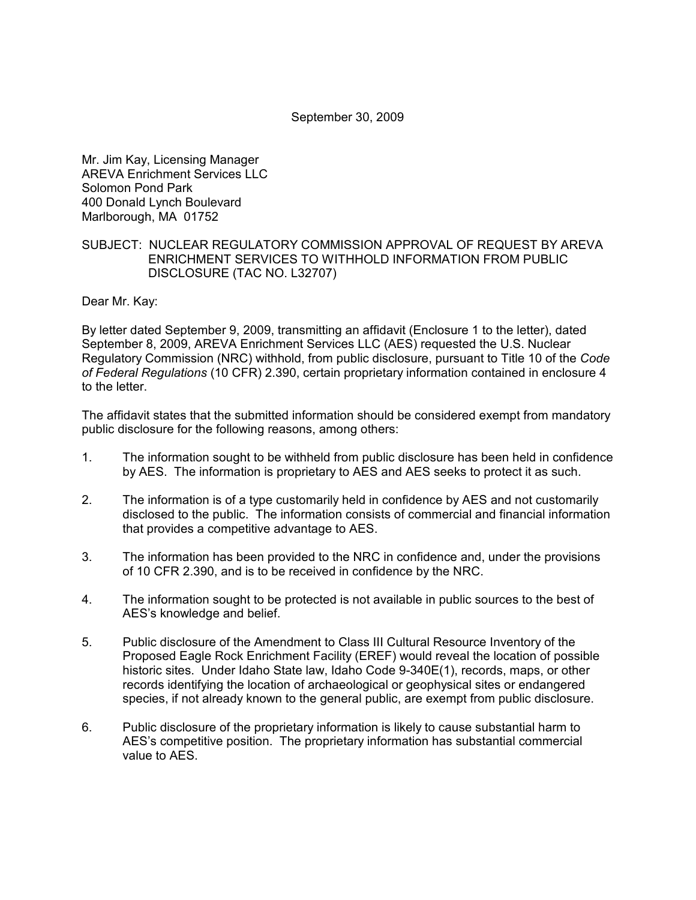September 30, 2009

Mr. Jim Kay, Licensing Manager AREVA Enrichment Services LLC Solomon Pond Park 400 Donald Lynch Boulevard Marlborough, MA 01752

## SUBJECT: NUCLEAR REGULATORY COMMISSION APPROVAL OF REQUEST BY AREVA ENRICHMENT SERVICES TO WITHHOLD INFORMATION FROM PUBLIC DISCLOSURE (TAC NO. L32707)

Dear Mr. Kay:

By letter dated September 9, 2009, transmitting an affidavit (Enclosure 1 to the letter), dated September 8, 2009, AREVA Enrichment Services LLC (AES) requested the U.S. Nuclear Regulatory Commission (NRC) withhold, from public disclosure, pursuant to Title 10 of the *Code of Federal Regulations* (10 CFR) 2.390, certain proprietary information contained in enclosure 4 to the letter.

The affidavit states that the submitted information should be considered exempt from mandatory public disclosure for the following reasons, among others:

- 1. The information sought to be withheld from public disclosure has been held in confidence by AES. The information is proprietary to AES and AES seeks to protect it as such.
- 2. The information is of a type customarily held in confidence by AES and not customarily disclosed to the public. The information consists of commercial and financial information that provides a competitive advantage to AES.
- 3. The information has been provided to the NRC in confidence and, under the provisions of 10 CFR 2.390, and is to be received in confidence by the NRC.
- 4. The information sought to be protected is not available in public sources to the best of AES's knowledge and belief.
- 5. Public disclosure of the Amendment to Class III Cultural Resource Inventory of the Proposed Eagle Rock Enrichment Facility (EREF) would reveal the location of possible historic sites. Under Idaho State law, Idaho Code 9-340E(1), records, maps, or other records identifying the location of archaeological or geophysical sites or endangered species, if not already known to the general public, are exempt from public disclosure.
- 6. Public disclosure of the proprietary information is likely to cause substantial harm to AES's competitive position. The proprietary information has substantial commercial value to AES.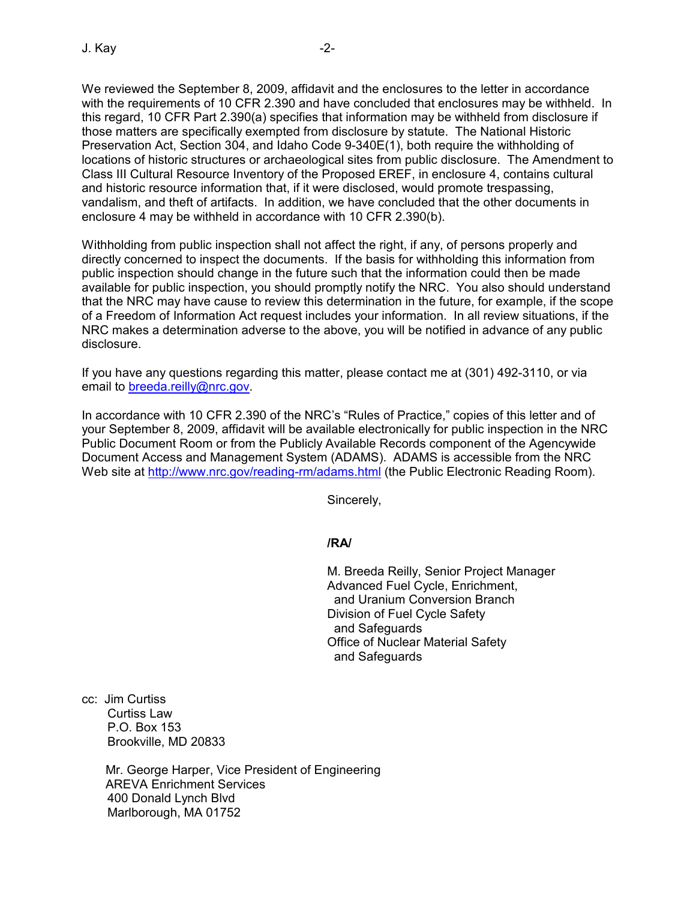We reviewed the September 8, 2009, affidavit and the enclosures to the letter in accordance with the requirements of 10 CFR 2.390 and have concluded that enclosures may be withheld. In this regard, 10 CFR Part 2.390(a) specifies that information may be withheld from disclosure if those matters are specifically exempted from disclosure by statute. The National Historic Preservation Act, Section 304, and Idaho Code 9-340E(1), both require the withholding of locations of historic structures or archaeological sites from public disclosure. The Amendment to Class III Cultural Resource Inventory of the Proposed EREF, in enclosure 4, contains cultural and historic resource information that, if it were disclosed, would promote trespassing, vandalism, and theft of artifacts. In addition, we have concluded that the other documents in enclosure 4 may be withheld in accordance with 10 CFR 2.390(b).

Withholding from public inspection shall not affect the right, if any, of persons properly and directly concerned to inspect the documents. If the basis for withholding this information from public inspection should change in the future such that the information could then be made available for public inspection, you should promptly notify the NRC. You also should understand that the NRC may have cause to review this determination in the future, for example, if the scope of a Freedom of Information Act request includes your information. In all review situations, if the NRC makes a determination adverse to the above, you will be notified in advance of any public disclosure.

If you have any questions regarding this matter, please contact me at (301) 492-3110, or via email to breeda.reilly@nrc.gov.

In accordance with 10 CFR 2.390 of the NRC's "Rules of Practice," copies of this letter and of your September 8, 2009, affidavit will be available electronically for public inspection in the NRC Public Document Room or from the Publicly Available Records component of the Agencywide Document Access and Management System (ADAMS). ADAMS is accessible from the NRC Web site at http://www.nrc.gov/reading-rm/adams.html (the Public Electronic Reading Room).

Sincerely,

**/RA/** 

M. Breeda Reilly, Senior Project Manager Advanced Fuel Cycle, Enrichment, and Uranium Conversion Branch Division of Fuel Cycle Safety and Safeguards Office of Nuclear Material Safety and Safeguards

cc: Jim Curtiss Curtiss Law P.O. Box 153 Brookville, MD 20833

> Mr. George Harper, Vice President of Engineering AREVA Enrichment Services 400 Donald Lynch Blvd Marlborough, MA 01752